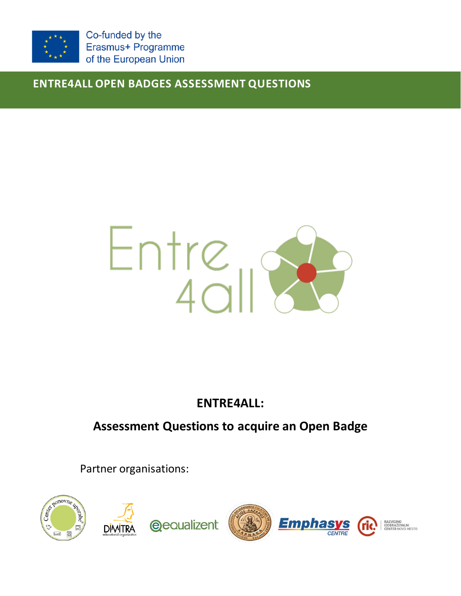

Co-funded by the Erasmus+ Programme of the European Union

**ENTRE4ALL OPEN BADGES ASSESSMENT QUESTIONS**



**ENTRE4ALL:**

# **Assessment Questions to acquire an Open Badge**

Partner organisations:

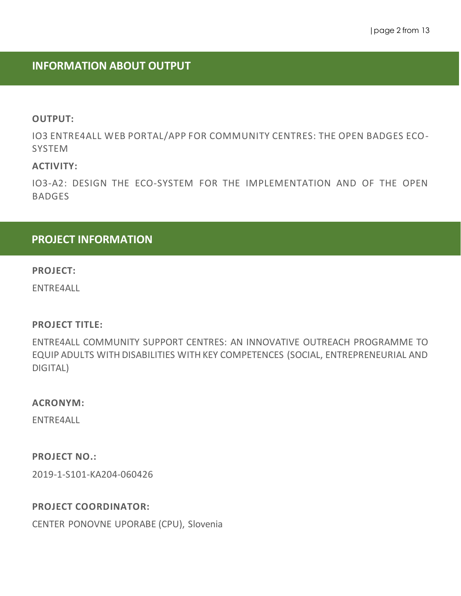# **INFORMATION ABOUT OUTPUT**

#### **OUTPUT:**

IO3 ENTRE4ALL WEB PORTAL/APP FOR COMMUNITY CENTRES: THE OPEN BADGES ECO-SYSTEM

### **ACTIVITY:**

IO3-A2: DESIGN THE ECO-SYSTEM FOR THE IMPLEMENTATION AND OF THE OPEN BADGES

# **PROJECT INFORMATION**

#### **PROJECT:**

ENTRE4ALL

#### **PROJECT TITLE:**

ENTRE4ALL COMMUNITY SUPPORT CENTRES: AN INNOVATIVE OUTREACH PROGRAMME TO EQUIP ADULTS WITH DISABILITIES WITH KEY COMPETENCES (SOCIAL, ENTREPRENEURIAL AND DIGITAL)

#### **ACRONYM:**

ENTRE4ALL

### **PROJECT NO.:**

2019-1-S101-KA204-060426

#### **PROJECT COORDINATOR:**

CENTER PONOVNE UPORABE (CPU), Slovenia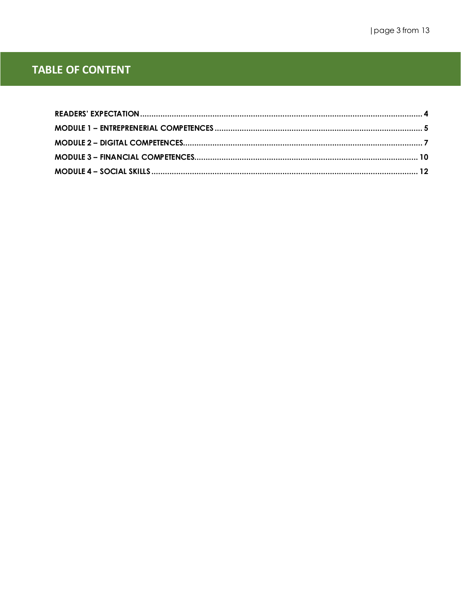# **TABLE OF CONTENT**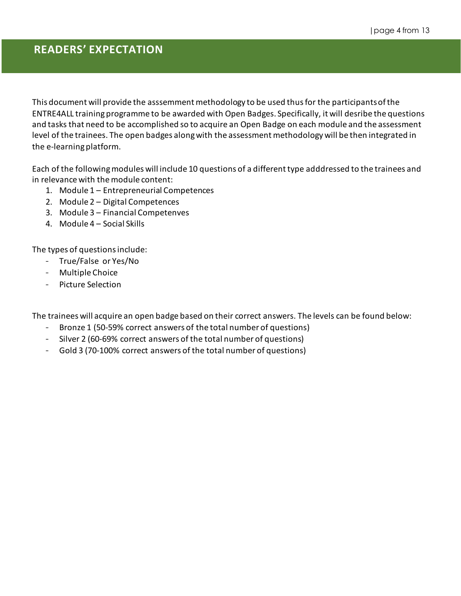# **READERS' EXPECTATION**

This document will provide the asssemment methodology to be used thus for the participants of the ENTRE4ALL training programme to be awarded with Open Badges. Specifically, it will desribe the questions and tasks that need to be accomplished so to acquire an Open Badge on each module and the assessment level of the trainees. The open badges along with the assessment methodology will be then integrated in the e-learning platform.

Each of the following modules will include 10 questions of a different type adddressed to the trainees and in relevance with the module content:

- 1. Module 1 Entrepreneurial Competences
- 2. Module 2 Digital Competences
- 3. Module 3 Financial Competenves
- 4. Module 4 Social Skills

The types of questions include:

- True/False or Yes/No
- Multiple Choice
- Picture Selection

The trainees will acquire an open badge based on their correct answers. The levels can be found below:

- Bronze 1 (50-59% correct answers of the total number of questions)
- Silver 2 (60-69% correct answers of the total number of questions)
- Gold 3 (70-100% correct answers of the total number of questions)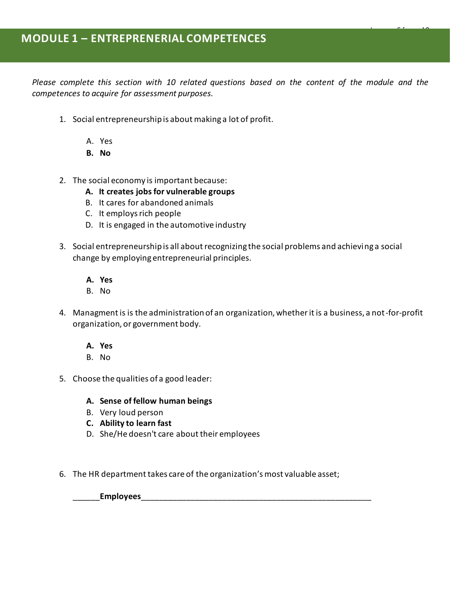*Please complete this section with 10 related questions based on the content of the module and the competences to acquire for assessment purposes.*

|page 5 from 13

- 1. Social entrepreneurship is about making a lot of profit.
	- A. Yes
	- **B. No**
- 2. The social economy is important because:
	- **A. It creates jobs for vulnerable groups**
	- B. It cares for abandoned animals
	- C. It employs rich people
	- D. It is engaged in the automotive industry
- 3. Social entrepreneurship is all about recognizing the social problems and achieving a social change by employing entrepreneurial principles.
	- **A. Yes**
	- B. No
- 4. Managment is is the administration of an organization, whether it is a business, a not-for-profit organization, or government body.
	- **A. Yes**
	- B. No
- 5. Choose the qualities of a good leader:
	- **A. Sense of fellow human beings**
	- B. Very loud person
	- **C. Ability to learn fast**
	- D. She/He doesn't care about their employees
- 6. The HR department takes care of the organization's most valuable asset;

\_\_\_\_\_\_**Employees**\_\_\_\_\_\_\_\_\_\_\_\_\_\_\_\_\_\_\_\_\_\_\_\_\_\_\_\_\_\_\_\_\_\_\_\_\_\_\_\_\_\_\_\_\_\_\_\_\_\_\_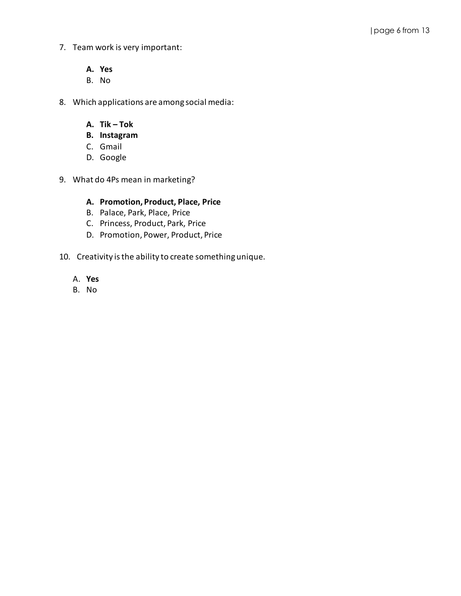- 7. Team work is very important:
	- **A. Yes**
	- B. No
- 8. Which applications are among social media:
	- **A. Tik – Tok**
	- **B. Instagram**
	- C. Gmail
	- D. Google
- 9. What do 4Ps mean in marketing?

#### **A. Promotion, Product, Place, Price**

- B. Palace, Park, Place, Price
- C. Princess, Product, Park, Price
- D. Promotion, Power, Product, Price
- 10. Creativity is the ability to create something unique.
	- A. **Yes**
	- B. No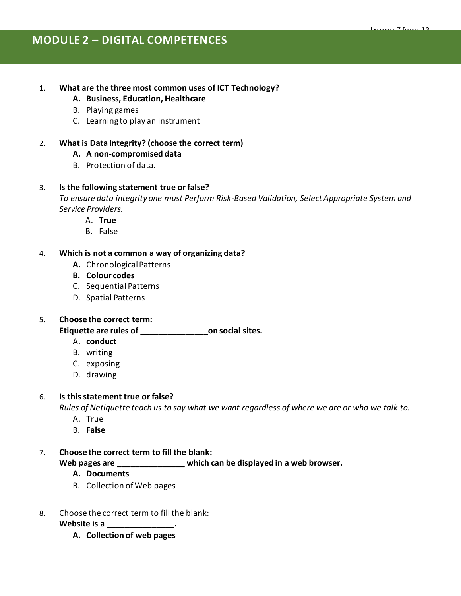# **MODULE 2 – DIGITAL COMPETENCES**

#### 1. **What are the three most common uses of ICT Technology?**

- **A. Business, Education, Healthcare**
- B. Playing games
- C. Learning to play an instrument

#### 2. **What is Data Integrity? (choose the correct term)**

#### **A. A non-compromised data**

B. Protection of data.

#### 3. **Is the following statement true or false?**

*To ensure data integrity one must Perform Risk-Based Validation, Select Appropriate System and Service Providers.* 

- A. **True**
- B. False

#### 4. **Which is not a common a way of organizing data?**

- **A.** Chronological Patterns
- **B. Colour codes**
- C. Sequential Patterns
- D. Spatial Patterns

#### 5. **Choose the correct term:**

#### **Etiquette are rules of \_\_\_\_\_\_\_\_\_\_\_\_\_\_\_on social sites.**

- A. **conduct**
- B. writing
- C. exposing
- D. drawing

#### 6. **Is this statement true or false?**

*Rules of Netiquette teach us to say what we want regardless of where we are or who we talk to.*

- A. True
- B. **False**

#### 7. **Choose the correct term to fill the blank:**

**Web pages are \_\_\_\_\_\_\_\_\_\_\_\_\_\_\_ which can be displayed in a web browser.**

- **A. Documents**
- B. Collection of Web pages

#### 8. Choose the correct term to fill the blank:

**Website is a \_\_\_\_\_\_\_\_\_\_\_\_\_\_\_.**

**A. Collection of web pages**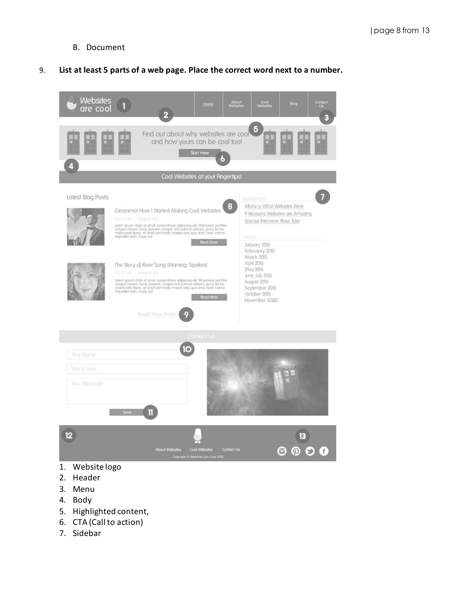B. Document

#### 9. **List at least 5 parts of a web page. Place the correct word next to a number.**



- 2. Header
- 3. Menu
- 4. Body
- 5. Highlighted content,
- 6. CTA (Call to action)
- 7. Sidebar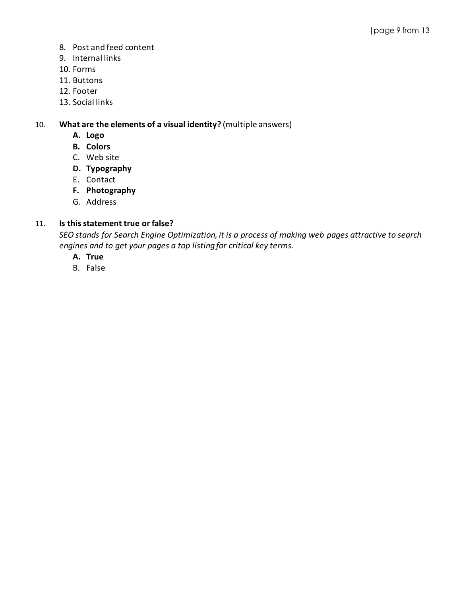- 8. Post and feed content
- 9. Internal links
- 10. Forms
- 11. Buttons
- 12. Footer
- 13. Social links

10. **What are the elements of a visual identity?** (multiple answers)

- **A. Logo**
- **B. Colors**
- C. Web site
- **D. Typography**
- E. Contact
- **F. Photography**
- G. Address

### 11. **Is this statement true or false?**

*SEO stands for Search Engine Optimization, it is a process of making web pages attractive to search engines and to get your pages a top listing for critical key terms.*

- **A. True**
- B. False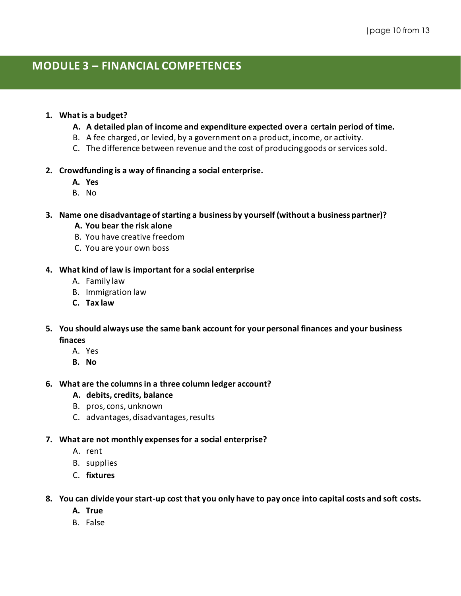# **MODULE 3 – FINANCIAL COMPETENCES**

#### **1. What is a budget?**

- **A. A detailed plan of income and expenditure expected over a certain period of time.**
- B. A fee charged, or levied, by a government on a product, income, or activity.
- C. The difference between revenue and the cost of producing goods or services sold.

#### **2. Crowdfunding is a way of financing a social enterprise.**

- **A. Yes**
- B. No

#### **3. Name one disadvantage of starting a business by yourself (without a business partner)?**

- **A. You bear the risk alone**
- B. You have creative freedom
- C. You are your own boss

#### **4. What kind of law is important for a social enterprise**

- A. Family law
- B. Immigration law
- **C. Tax law**
- **5. You should always use the same bank account for your personal finances and your business finaces**
	- A. Yes
	- **B. No**

#### **6. What are the columns in a three column ledger account?**

- **A. debits, credits, balance**
- B. pros, cons, unknown
- C. advantages, disadvantages, results

#### **7. What are not monthly expenses for a social enterprise?**

- A. rent
- B. supplies
- C. **fixtures**
- **8. You can divide your start-up cost that you only have to pay once into capital costs and soft costs.**
	- **A. True**
	- B. False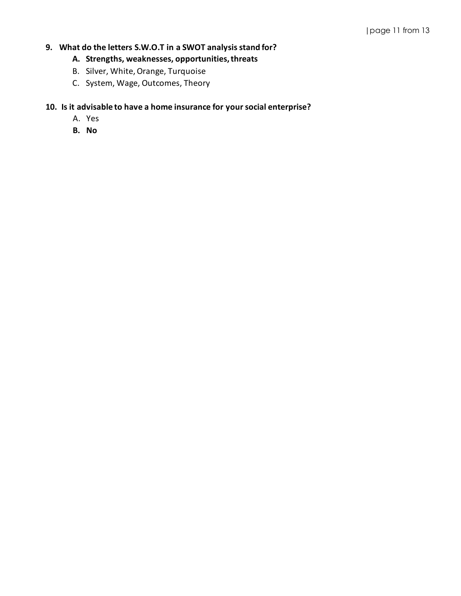## **9. What do the letters S.W.O.T in a SWOT analysis stand for?**

### **A. Strengths, weaknesses, opportunities, threats**

- B. Silver, White, Orange, Turquoise
- C. System, Wage, Outcomes, Theory

### **10. Is it advisable to have a home insurance for your social enterprise?**

- A. Yes
- **B. No**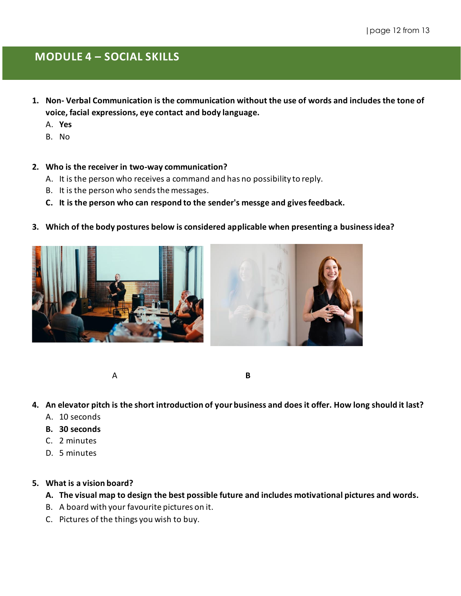# **MODULE 4 – SOCIAL SKILLS**

- **1. Non- Verbal Communication is the communication without the use of words and includes the tone of voice, facial expressions, eye contact and body language.**
	- A. **Yes**
	- B. No

#### **2. Who is the receiver in two-way communication?**

- A. It is the person who receives a command and has no possibility to reply.
- B. It is the person who sends the messages.
- **C. It is the person who can respond to the sender's messge and gives feedback.**
- **3. Which of the body postures below is considered applicable when presenting a business idea?**



A **B**

- **4. An elevator pitch is the short introduction of your business and does it offer. How long should it last?**
	- A. 10 seconds
	- **B. 30 seconds**
	- C. 2 minutes
	- D. 5 minutes

### **5. What is a vision board?**

- **A. The visual map to design the best possible future and includes motivational pictures and words.**
- B. A board with your favourite pictures on it.
- C. Pictures of the things you wish to buy.